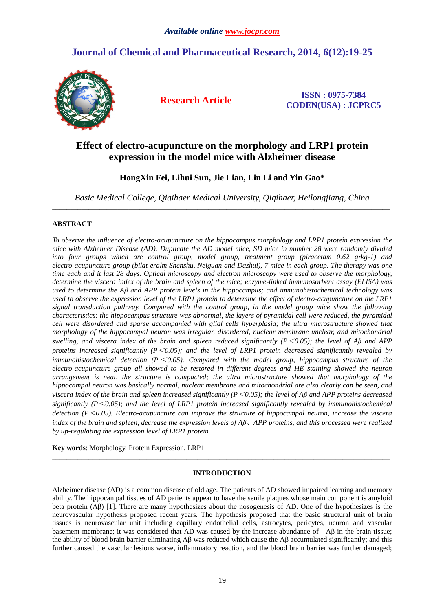# **Journal of Chemical and Pharmaceutical Research, 2014, 6(12):19-25**



**Research Article ISSN : 0975-7384 CODEN(USA) : JCPRC5**

# **Effect of electro-acupuncture on the morphology and LRP1 protein expression in the model mice with Alzheimer disease**

# **HongXin Fei, Lihui Sun, Jie Lian, Lin Li and Yin Gao\***

*Basic Medical College, Qiqihaer Medical University, Qiqihaer, Heilongjiang, China*  \_\_\_\_\_\_\_\_\_\_\_\_\_\_\_\_\_\_\_\_\_\_\_\_\_\_\_\_\_\_\_\_\_\_\_\_\_\_\_\_\_\_\_\_\_\_\_\_\_\_\_\_\_\_\_\_\_\_\_\_\_\_\_\_\_\_\_\_\_\_\_\_\_\_\_\_\_\_\_\_\_\_\_\_\_\_\_\_\_\_\_\_\_

## **ABSTRACT**

*To observe the influence of electro-acupuncture on the hippocampus morphology and LRP1 protein expression the mice with Alzheimer Disease (AD). Duplicate the AD model mice, SD mice in number 28 were randomly divided into four groups which are control group, model group, treatment group (piracetam 0.62 g•kg-1) and electro-acupuncture group (bilat-eralm Shenshu, Neiguan and Dazhui), 7 mice in each group. The therapy was one time each and it last 28 days. Optical microscopy and electron microscopy were used to observe the morphology, determine the viscera index of the brain and spleen of the mice; enzyme-linked immunosorbent assay (ELISA) was used to determine the Aβ and APP protein levels in the hippocampus; and immunohistochemical technology was used to observe the expression level of the LRP1 protein to determine the effect of electro-acupuncture on the LRP1 signal transduction pathway. Compared with the control group, in the model group mice show the following characteristics: the hippocampus structure was abnormal, the layers of pyramidal cell were reduced, the pyramidal cell were disordered and sparse accompanied with glial cells hyperplasia; the ultra microstructure showed that morphology of the hippocampal neuron was irregular, disordered, nuclear membrane unclear, and mitochondrial swelling, and viscera index of the brain and spleen reduced significantly (* $P \le 0.05$ *); the level of A* $\beta$  *and APP proteins increased significantly (P*<*0.05); and the level of LRP1 protein decreased significantly revealed by immunohistochemical detection (P*<*0.05). Compared with the model group, hippocampus structure of the electro-acupuncture group all showed to be restored in different degrees and HE staining showed the neuron arrangement is neat, the structure is compacted; the ultra microstructure showed that morphology of the hippocampal neuron was basically normal, nuclear membrane and mitochondrial are also clearly can be seen, and viscera index of the brain and spleen increased significantly (P*<*0.05); the level of Aβ and APP proteins decreased significantly (P* $<0.05$ ); and the level of LRP1 protein increased significantly revealed by immunohistochemical *detection (P*<*0.05). Electro-acupuncture can improve the structure of hippocampal neuron, increase the viscera index of the brain and spleen, decrease the expression levels of Aβ*、*APP proteins, and this processed were realized by up-regulating the expression level of LRP1 protein.* 

**Key words**: Morphology, Protein Expression, LRP1

# **INTRODUCTION**

\_\_\_\_\_\_\_\_\_\_\_\_\_\_\_\_\_\_\_\_\_\_\_\_\_\_\_\_\_\_\_\_\_\_\_\_\_\_\_\_\_\_\_\_\_\_\_\_\_\_\_\_\_\_\_\_\_\_\_\_\_\_\_\_\_\_\_\_\_\_\_\_\_\_\_\_\_\_\_\_\_\_\_\_\_\_\_\_\_\_\_\_\_

Alzheimer disease (AD) is a common disease of old age. The patients of AD showed impaired learning and memory ability. The hippocampal tissues of AD patients appear to have the senile plaques whose main component is amyloid beta protein (Aβ) [1]. There are many hypothesizes about the nosogenesis of AD. One of the hypothesizes is the neurovascular hypothesis proposed recent years. The hypothesis proposed that the basic structural unit of brain tissues is neurovascular unit including capillary endothelial cells, astrocytes, pericytes, neuron and vascular basement membrane; it was considered that AD was caused by the increase abundance of Aβ in the brain tissue; the ability of blood brain barrier eliminating Aβ was reduced which cause the Aβ accumulated significantly; and this further caused the vascular lesions worse, inflammatory reaction, and the blood brain barrier was further damaged;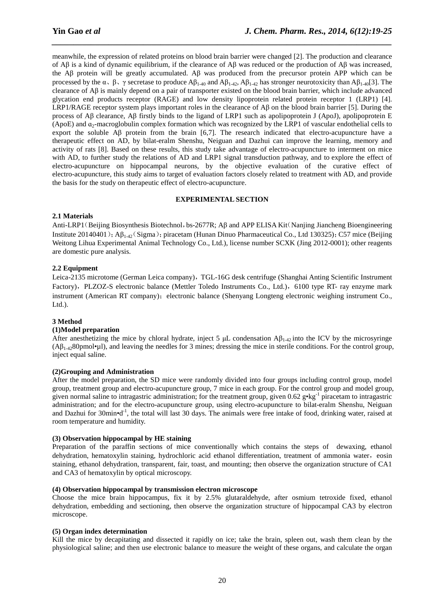meanwhile, the expression of related proteins on blood brain barrier were changed [2]. The production and clearance of  $\overrightarrow{AB}$  is a kind of dynamic equilibrium, if the clearance of  $\overrightarrow{AB}$  was reduced or the production of  $\overrightarrow{AB}$  was increased, the Aβ protein will be greatly accumulated. Aβ was produced from the precursor protein APP which can be processed by the α, β, γ secretase to produce  $\mathsf{A}\beta_{1-40}$  and  $\mathsf{A}\beta_{1-42}$ ,  $\mathsf{A}\beta_{1-42}$  has stronger neurotoxicity than  $\mathsf{A}\beta_{1-40}[3]$ . The clearance of Aβ is mainly depend on a pair of transporter existed on the blood brain barrier, which include advanced glycation end products receptor (RAGE) and low density lipoprotein related protein receptor 1 (LRP1) [4]. LRP1/RAGE receptor system plays important roles in the clearance of  $\mathsf{A}\beta$  on the blood brain barrier [5]. During the process of Aβ clearance, Aβ firstly binds to the ligand of LRP1 such as apolipoprotein J (ApoJ), apolipoprotein E  $(ApoE)$  and  $a_2$ -macroglobulin complex formation which was recognized by the LRP1 of vascular endothelial cells to export the soluble Aβ protein from the brain [6,7]. The research indicated that electro-acupuncture have a therapeutic effect on AD, by bilat-eralm Shenshu, Neiguan and Dazhui can improve the learning, memory and activity of rats [8]. Based on these results, this study take advantage of electro-acupuncture to interment on mice with AD, to further study the relations of AD and LRP1 signal transduction pathway, and to explore the effect of electro-acupuncture on hippocampal neurons, by the objective evaluation of the curative effect of electro-acupuncture, this study aims to target of evaluation factors closely related to treatment with AD, and provide the basis for the study on therapeutic effect of electro-acupuncture.

*\_\_\_\_\_\_\_\_\_\_\_\_\_\_\_\_\_\_\_\_\_\_\_\_\_\_\_\_\_\_\_\_\_\_\_\_\_\_\_\_\_\_\_\_\_\_\_\_\_\_\_\_\_\_\_\_\_\_\_\_\_\_\_\_\_\_\_\_\_\_\_\_\_\_\_\_\_\_*

## **EXPERIMENTAL SECTION**

## **2.1 Materials**

Anti-LRP1(Beijing Biosynthesis Biotechnol,bs-2677R; Aβ and APP ELISA Kit(Nanjing Jiancheng Bioengineering Institute 20140401); Aβ<sub>1-42</sub>(Sigma); piracetam (Hunan Dinuo Pharmaceutical Co., Ltd 130325); C57 mice (Beijing Weitong Lihua Experimental Animal Technology Co., Ltd.), license number SCXK (Jing 2012-0001); other reagents are domestic pure analysis.

## **2.2 Equipment**

Leica-2135 microtome (German Leica company), TGL-16G desk centrifuge (Shanghai Anting Scientific Instrument Factory), PLZOZ-S electronic balance (Mettler Toledo Instruments Co., Ltd.), 6100 type RT- ray enzyme mark instrument (American RT company); electronic balance (Shenyang Longteng electronic weighing instrument Co.,  $Ltd.$ ).

### **3 Method**

### **(1)Model preparation**

After anesthetizing the mice by chloral hydrate, inject 5  $\mu$ L condensation A $\beta_{1.42}$  into the ICV by the microsyringe  $(AB_{1-42}80pmod{\bullet}$  and leaving the needles for 3 mines; dressing the mice in sterile conditions. For the control group, inject equal saline.

### **(2)Grouping and Administration**

After the model preparation, the SD mice were randomly divided into four groups including control group, model group, treatment group and electro-acupuncture group, 7 mice in each group. For the control group and model group, given normal saline to intragastric administration; for the treatment group, given 0.62  $g \cdot kg^{-1}$  piracetam to intragastric administration; and for the electro-acupuncture group, using electro-acupuncture to bilat-eralm Shenshu, Neiguan and Dazhui for 30 $\text{min} \cdot \mathbf{d}^{-1}$ , the total will last 30 days. The animals were free intake of food, drinking water, raised at room temperature and humidity.

# **(3) Observation hippocampal by HE staining**

Preparation of the paraffin sections of mice conventionally which contains the steps of dewaxing, ethanol dehydration, hematoxylin staining, hydrochloric acid ethanol differentiation, treatment of ammonia water, eosin staining, ethanol dehydration, transparent, fair, toast, and mounting; then observe the organization structure of CA1 and CA3 of hematoxylin by optical microscopy.

### **(4) Observation hippocampal by transmission electron microscope**

Choose the mice brain hippocampus, fix it by 2.5% glutaraldehyde, after osmium tetroxide fixed, ethanol dehydration, embedding and sectioning, then observe the organization structure of hippocampal CA3 by electron microscope.

### **(5) Organ index determination**

Kill the mice by decapitating and dissected it rapidly on ice; take the brain, spleen out, wash them clean by the physiological saline; and then use electronic balance to measure the weight of these organs, and calculate the organ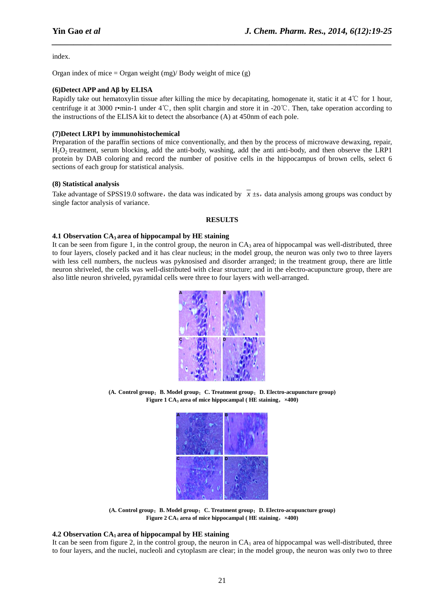index.

Organ index of mice = Organ weight  $(mg)/$  Body weight of mice  $(g)$ 

#### **(6)Detect APP and Aβ by ELISA**

Rapidly take out hematoxylin tissue after killing the mice by decapitating, homogenate it, static it at  $4^{\circ}$ C for 1 hour, centrifuge it at 3000 r•min-1 under 4℃, then split chargin and store it in -20℃. Then, take operation according to the instructions of the ELISA kit to detect the absorbance (A) at 450nm of each pole.

*\_\_\_\_\_\_\_\_\_\_\_\_\_\_\_\_\_\_\_\_\_\_\_\_\_\_\_\_\_\_\_\_\_\_\_\_\_\_\_\_\_\_\_\_\_\_\_\_\_\_\_\_\_\_\_\_\_\_\_\_\_\_\_\_\_\_\_\_\_\_\_\_\_\_\_\_\_\_*

#### **(7)Detect LRP1 by immunohistochemical**

Preparation of the paraffin sections of mice conventionally, and then by the process of microwave dewaxing, repair, H<sub>2</sub>O<sub>2</sub> treatment, serum blocking, add the anti-body, washing, add the anti-body, and then observe the LRP1 protein by DAB coloring and record the number of positive cells in the hippocampus of brown cells, select 6 sections of each group for statistical analysis.

#### **(8) Statistical analysis**

Take advantage of SPSS19.0 software, the data was indicated by  $\bar{x}$  ±s, data analysis among groups was conduct by single factor analysis of variance.

#### **RESULTS**

#### **4.1 Observation CA3 area of hippocampal by HE staining**

It can be seen from figure 1, in the control group, the neuron in  $CA_3$  area of hippocampal was well-distributed, three to four layers, closely packed and it has clear nucleus; in the model group, the neuron was only two to three layers with less cell numbers, the nucleus was pyknosised and disorder arranged; in the treatment group, there are little neuron shriveled, the cells was well-distributed with clear structure; and in the electro-acupuncture group, there are also little neuron shriveled, pyramidal cells were three to four layers with well-arranged.



**(A. Control group**;**B. Model group**;**C. Treatment group**;**D. Electro-acupuncture group) Figure 1 CA3 area of mice hippocampal ( HE staining**,**×400)** 



**(A. Control group**;**B. Model group**;**C. Treatment group**;**D. Electro-acupuncture group) Figure 2 CA1 area of mice hippocampal ( HE staining**,**×400)** 

### **4.2 Observation CA1 area of hippocampal by HE staining**

It can be seen from figure 2, in the control group, the neuron in  $CA<sub>1</sub>$  area of hippocampal was well-distributed, three to four layers, and the nuclei, nucleoli and cytoplasm are clear; in the model group, the neuron was only two to three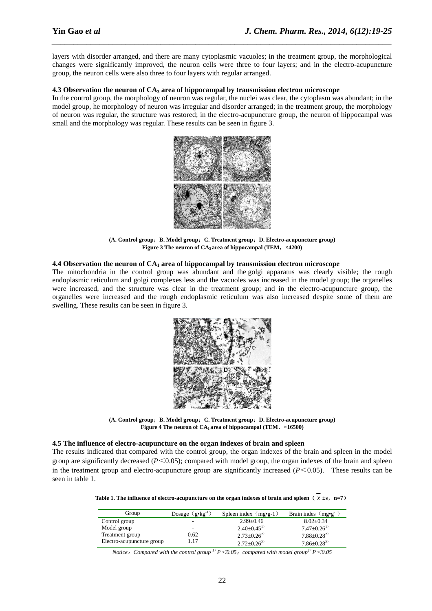layers with disorder arranged, and there are many cytoplasmic vacuoles; in the treatment group, the morphological changes were significantly improved, the neuron cells were three to four layers; and in the electro-acupuncture group, the neuron cells were also three to four layers with regular arranged.

*\_\_\_\_\_\_\_\_\_\_\_\_\_\_\_\_\_\_\_\_\_\_\_\_\_\_\_\_\_\_\_\_\_\_\_\_\_\_\_\_\_\_\_\_\_\_\_\_\_\_\_\_\_\_\_\_\_\_\_\_\_\_\_\_\_\_\_\_\_\_\_\_\_\_\_\_\_\_*

#### **4.3 Observation the neuron of CA3 area of hippocampal by transmission electron microscope**

In the control group, the morphology of neuron was regular, the nuclei was clear, the cytoplasm was abundant; in the model group, he morphology of neuron was irregular and disorder arranged; in the treatment group, the morphology of neuron was regular, the structure was restored; in the electro-acupuncture group, the neuron of hippocampal was small and the morphology was regular. These results can be seen in figure 3.



**(A. Control group**;**B. Model group**;**C. Treatment group**;**D. Electro-acupuncture group) Figure 3 The neuron of CA3 area of hippocampal (TEM**,**×4200)** 

### **4.4 Observation the neuron of CA1 area of hippocampal by transmission electron microscope**

The mitochondria in the control group was abundant and the golgi apparatus was clearly visible; the rough endoplasmic reticulum and golgi complexes less and the vacuoles was increased in the model group; the organelles were increased, and the structure was clear in the treatment group; and in the electro-acupuncture group, the organelles were increased and the rough endoplasmic reticulum was also increased despite some of them are swelling. These results can be seen in figure 3.



**(A. Control group**;**B. Model group**;**C. Treatment group**;**D. Electro-acupuncture group) Figure 4 The neuron of CA1 area of hippocampal (TEM**,**×16500)** 

#### **4.5 The influence of electro-acupuncture on the organ indexes of brain and spleen**

The results indicated that compared with the control group, the organ indexes of the brain and spleen in the model group are significantly decreased  $(P<0.05)$ ; compared with model group, the organ indexes of the brain and spleen in the treatment group and electro-acupuncture group are significantly increased  $(P<0.05)$ . These results can be seen in table 1.

**Table 1. The influence of electro-acupuncture on the organ indexes of brain and spleen**  $(\overline{x} \pm s, n=7)$ 

| Group                     | Dosage $(g \cdot kg^{-1})$ | Spleen index $(mg\bullet g-1)$ | Brain indes $(mgeq^{-1})$    |
|---------------------------|----------------------------|--------------------------------|------------------------------|
| Control group             | ۰                          | $2.99 \pm 0.46$                | $8.02 \pm 0.34$              |
| Model group               | ۰                          | $2.40\pm0.45^{1}$              | $7.47 \pm 0.26$ <sup>1</sup> |
| Treatment group           | 0.62                       | $2.73 \pm 0.26^{2}$            | $7.88 \pm 0.28^{2}$          |
| Electro-acupuncture group | 1.17                       | $2.72 \pm 0.26^{2}$            | $7.86 \pm 0.28^{2}$          |

*Notice*:*Compared with the control group <sup>1</sup>*) *P*<*0.05*;*compared with model group<sup>2</sup>*) *P*<*0.05*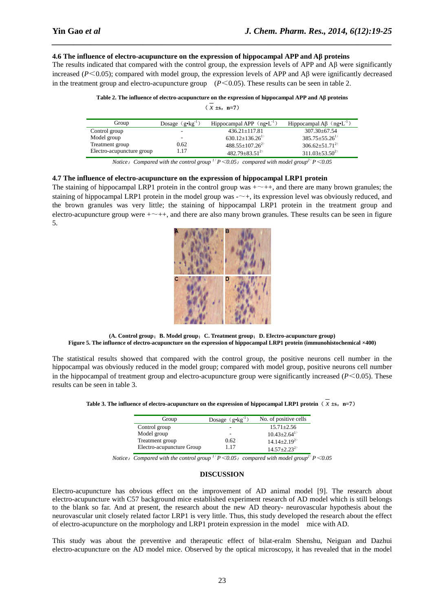#### **4.6 The influence of electro-acupuncture on the expression of hippocampal APP and Aβ proteins**

The results indicated that compared with the control group, the expression levels of APP and Aβ were significantly increased (*P*<0.05); compared with model group, the expression levels of APP and Aβ were ignificantly decreased in the treatment group and electro-acupuncture group  $(P \le 0.05)$ . These results can be seen in table 2.

*\_\_\_\_\_\_\_\_\_\_\_\_\_\_\_\_\_\_\_\_\_\_\_\_\_\_\_\_\_\_\_\_\_\_\_\_\_\_\_\_\_\_\_\_\_\_\_\_\_\_\_\_\_\_\_\_\_\_\_\_\_\_\_\_\_\_\_\_\_\_\_\_\_\_\_\_\_\_*

|  |  | Table 2. The influence of electro-acupuncture on the expression of hippocampal APP and A $\beta$ proteins |
|--|--|-----------------------------------------------------------------------------------------------------------|
|  |  |                                                                                                           |
|  |  |                                                                                                           |

| x. | $\pm$ s. | n=7) |
|----|----------|------|

| Group                     | Dosage $(g \cdot kg^{-1})$ | Hippocampal APP $(ng\bullet L^{-1})$ | Hippocampal A $\beta$ (ng•L <sup>-1</sup> ) |
|---------------------------|----------------------------|--------------------------------------|---------------------------------------------|
| Control group             |                            | $436.21 \pm 117.81$                  | $307.30 \pm 67.54$                          |
| Model group               |                            | $630.12 \pm 136.26$ <sup>1</sup>     | $385.75 \pm 55.26$ <sup>1</sup>             |
| Treatment group           | 0.62                       | $488.55 \pm 107.26^{2}$              | $306.62 + 51.71^{2}$                        |
| Electro-acupuncture group | 1.17                       | $482.79 \pm 83.51^{2}$               | $311.03 \pm 53.50^{2}$                      |

*Notice*:*Compared with the control group <sup>1</sup>*) *P*<*0.05*;*compared with model group<sup>2</sup>*) *P*<*0.05* 

### **4.7 The influence of electro-acupuncture on the expression of hippocampal LRP1 protein**

The staining of hippocampal LRP1 protein in the control group was  $+\sim$ ++, and there are many brown granules; the staining of hippocampal LRP1 protein in the model group was  $-\rightarrow$ , its expression level was obviously reduced, and the brown granules was very little; the staining of hippocampal LRP1 protein in the treatment group and electro-acupuncture group were  $+\sim ++$ , and there are also many brown granules. These results can be seen in figure 5.



**(A. Control group**;**B. Model group**;**C. Treatment group**;**D. Electro-acupuncture group) Figure 5. The influence of electro-acupuncture on the expression of hippocampal LRP1 protein (immunohistochemical ×400)** 

The statistical results showed that compared with the control group, the positive neurons cell number in the hippocampal was obviously reduced in the model group; compared with model group, positive neurons cell number in the hippocampal of treatment group and electro-acupuncture group were significantly increased  $(P<0.05)$ . These results can be seen in table 3.

| Table 3. The influence of electro-acupuncture on the expression of hippocampal LRP1 protein $(x \pm s, n=7)$ |  |  |
|--------------------------------------------------------------------------------------------------------------|--|--|
|--------------------------------------------------------------------------------------------------------------|--|--|

| Group                     | Dosage $(g \cdot kg^{-1})$ | No. of positive cells        |
|---------------------------|----------------------------|------------------------------|
| Control group             | $\overline{\phantom{a}}$   | $15.71 \pm 2.56$             |
| Model group               | -                          | $10.43 + 2.64$ <sup>1)</sup> |
| Treatment group           | 0.62                       | $14.14 + 2.19^{2}$           |
| Electro-acupuncture Group | 117                        | $14.57 + 2.23^{2}$           |

*Notice*:*Compared with the control group <sup>1</sup>*) *P*<*0.05*;*compared with model group<sup>2</sup>*) *P*<*0.05* 

#### **DISCUSSION**

Electro-acupuncture has obvious effect on the improvement of AD animal model [9]. The research about electro-acupuncture with C57 background mice established experiment research of AD model which is still belongs to the blank so far. And at present, the research about the new AD theory- neurovascular hypothesis about the neurovascular unit closely related factor LRP1 is very little. Thus, this study developed the research about the effect of electro-acupuncture on the morphology and LRP1 protein expression in the model mice with AD.

This study was about the preventive and therapeutic effect of bilat-eralm Shenshu, Neiguan and Dazhui electro-acupuncture on the AD model mice. Observed by the optical microscopy, it has revealed that in the model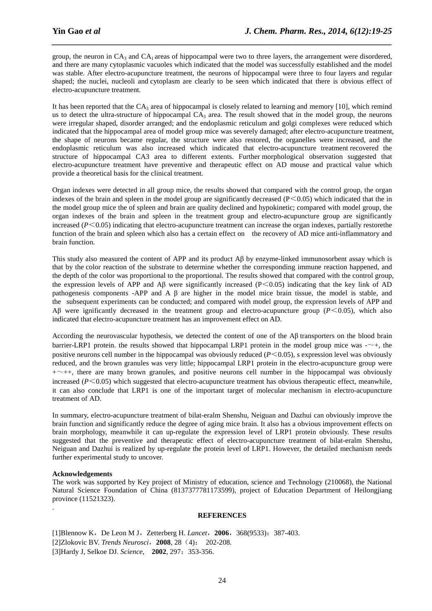group, the neuron in  $CA_3$  and  $CA_1$  areas of hippocampal were two to three layers, the arrangement were disordered, and there are many cytoplasmic vacuoles which indicated that the model was successfully established and the model was stable. After electro-acupuncture treatment, the neurons of hippocampal were three to four layers and regular shaped; the nuclei, nucleoli and cytoplasm are clearly to be seen which indicated that there is obvious effect of electro-acupuncture treatment.

*\_\_\_\_\_\_\_\_\_\_\_\_\_\_\_\_\_\_\_\_\_\_\_\_\_\_\_\_\_\_\_\_\_\_\_\_\_\_\_\_\_\_\_\_\_\_\_\_\_\_\_\_\_\_\_\_\_\_\_\_\_\_\_\_\_\_\_\_\_\_\_\_\_\_\_\_\_\_*

It has been reported that the  $CA_3$  area of hippocampal is closely related to learning and memory [10], which remind us to detect the ultra-structure of hippocampal  $CA_3$  area. The result showed that in the model group, the neurons were irregular shaped, disorder arranged; and the endoplasmic reticulum and golgi complexes were reduced which indicated that the hippocampal area of model group mice was severely damaged; after electro-acupuncture treatment, the shape of neurons became regular, the structure were also restored, the organelles were increased, and the endoplasmic reticulum was also increased which indicated that electro-acupuncture treatment recovered the structure of hippocampal CA3 area to different extents. Further morphological observation suggested that electro-acupuncture treatment have preventive and therapeutic effect on AD mouse and practical value which provide a theoretical basis for the clinical treatment.

Organ indexes were detected in all group mice, the results showed that compared with the control group, the organ indexes of the brain and spleen in the model group are significantly decreased ( $P \le 0.05$ ) which indicated that the in the model group mice the of spleen and brain are quality declined and hypokinetic; compared with model group, the organ indexes of the brain and spleen in the treatment group and electro-acupuncture group are significantly increased  $(P<0.05)$  indicating that electro-acupuncture treatment can increase the organ indexes, partially restore the function of the brain and spleen which also has a certain effect on the recovery of AD mice anti-inflammatory and brain function.

This study also measured the content of APP and its product Aβ by enzyme-linked immunosorbent assay which is that by the color reaction of the substrate to determine whether the corresponding immune reaction happened, and the depth of the color was proportional to the proportional. The results showed that compared with the control group, the expression levels of APP and A $\beta$  were significantly increased (P<0.05) indicating that the key link of AD pathogenesis components -APP and A β are higher in the model mice brain tissue, the model is stable, and the subsequent experiments can be conducted; and compared with model group, the expression levels of APP and Aβ were ignificantly decreased in the treatment group and electro-acupuncture group (*P*<0.05), which also indicated that electro-acupuncture treatment has an improvement effect on AD.

According the neurovascular hypothesis, we detected the content of one of the Aβ transporters on the blood brain barrier-LRP1 protein. the results showed that hippocampal LRP1 protein in the model group mice was -~+, the positive neurons cell number in the hippocampal was obviously reduced (*P*<0.05), s expression level was obviously reduced, and the brown granules was very little; hippocampal LRP1 protein in the electro-acupuncture group were  $+\sim$ ++, there are many brown granules, and positive neurons cell number in the hippocampal was obviously increased (*P*<0.05) which suggested that electro-acupuncture treatment has obvious therapeutic effect, meanwhile, it can also conclude that LRP1 is one of the important target of molecular mechanism in electro-acupuncture treatment of AD.

In summary, electro-acupuncture treatment of bilat-eralm Shenshu, Neiguan and Dazhui can obviously improve the brain function and significantly reduce the degree of aging mice brain. It also has a obvious improvement effects on brain morphology, meanwhile it can up-regulate the expression level of LRP1 protein obviously. These results suggested that the preventive and therapeutic effect of electro-acupuncture treatment of bilat-eralm Shenshu, Neiguan and Dazhui is realized by up-regulate the protein level of LRP1. However, the detailed mechanism needs further experimental study to uncover.

### **Acknowledgements**

.

The work was supported by Key project of Ministry of education, science and Technology (210068), the National Natural Science Foundation of China (8137377781173599), project of Education Department of Heilongjiang province (11521323).

#### **REFERENCES**

[1]Blennow K, De Leon M J, Zetterberg H. *Lancet*, 2006, 368(9533): 387-403. [2]Zlokovic BV. *Trends Neurosci*,**2008**, 28(4): 202-208. [3]Hardy J, Selkoe DJ. *Science*, **2002**, 297:353-356.